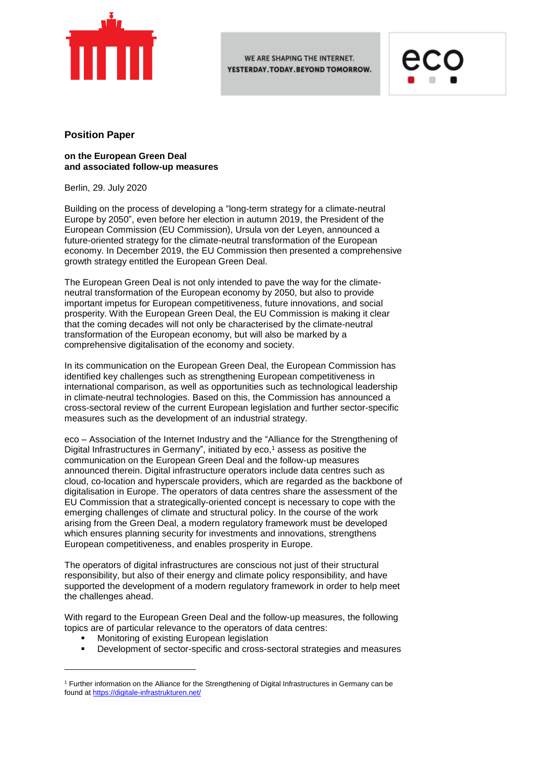

WE ARE SHAPING THE INTERNET. YESTERDAY.TODAY.BEYOND TOMORROW.



# **Position Paper**

### **on the European Green Deal and associated follow-up measures**

Berlin, 29. July 2020

Building on the process of developing a "long-term strategy for a climate-neutral Europe by 2050", even before her election in autumn 2019, the President of the European Commission (EU Commission), Ursula von der Leyen, announced a future-oriented strategy for the climate-neutral transformation of the European economy. In December 2019, the EU Commission then presented a comprehensive growth strategy entitled the European Green Deal.

The European Green Deal is not only intended to pave the way for the climateneutral transformation of the European economy by 2050, but also to provide important impetus for European competitiveness, future innovations, and social prosperity. With the European Green Deal, the EU Commission is making it clear that the coming decades will not only be characterised by the climate-neutral transformation of the European economy, but will also be marked by a comprehensive digitalisation of the economy and society.

In its communication on the European Green Deal, the European Commission has identified key challenges such as strengthening European competitiveness in international comparison, as well as opportunities such as technological leadership in climate-neutral technologies. Based on this, the Commission has announced a cross-sectoral review of the current European legislation and further sector-specific measures such as the development of an industrial strategy.

eco – Association of the Internet Industry and the "Alliance for the Strengthening of Digital Infrastructures in Germany", initiated by eco, <sup>1</sup> assess as positive the communication on the European Green Deal and the follow-up measures announced therein. Digital infrastructure operators include data centres such as cloud, co-location and hyperscale providers, which are regarded as the backbone of digitalisation in Europe. The operators of data centres share the assessment of the EU Commission that a strategically-oriented concept is necessary to cope with the emerging challenges of climate and structural policy. In the course of the work arising from the Green Deal, a modern regulatory framework must be developed which ensures planning security for investments and innovations, strengthens European competitiveness, and enables prosperity in Europe.

The operators of digital infrastructures are conscious not just of their structural responsibility, but also of their energy and climate policy responsibility, and have supported the development of a modern regulatory framework in order to help meet the challenges ahead.

With regard to the European Green Deal and the follow-up measures, the following topics are of particular relevance to the operators of data centres:

Monitoring of existing European legislation

Development of sector-specific and cross-sectoral strategies and measures

<sup>1</sup> Further information on the Alliance for the Strengthening of Digital Infrastructures in Germany can be found at <https://digitale-infrastrukturen.net/>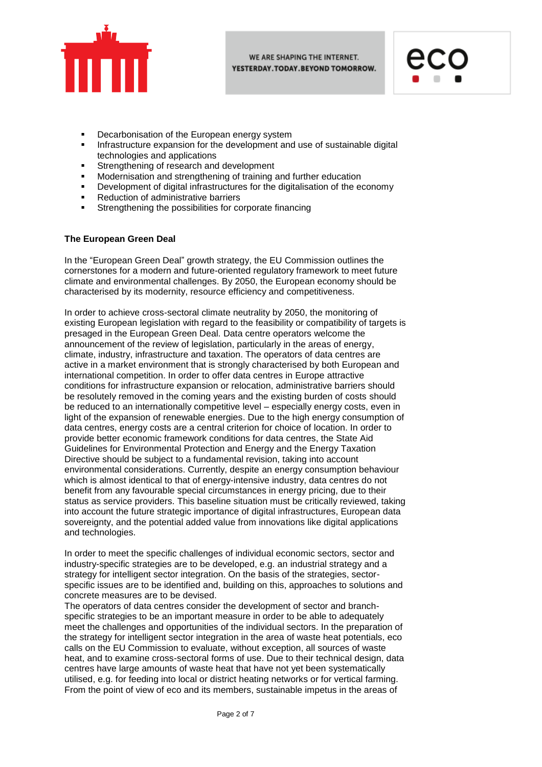

- **•** Decarbonisation of the European energy system
- **Infrastructure expansion for the development and use of sustainable digital** technologies and applications
- **Strengthening of research and development**
- **Modernisation and strengthening of training and further education**<br> **Pevelopment of digital infrastructures for the digitalisation of the equal to the digital**
- Development of digital infrastructures for the digitalisation of the economy
- Reduction of administrative barriers
- Strengthening the possibilities for corporate financing

### **The European Green Deal**

In the "European Green Deal" growth strategy, the EU Commission outlines the cornerstones for a modern and future-oriented regulatory framework to meet future climate and environmental challenges. By 2050, the European economy should be characterised by its modernity, resource efficiency and competitiveness.

In order to achieve cross-sectoral climate neutrality by 2050, the monitoring of existing European legislation with regard to the feasibility or compatibility of targets is presaged in the European Green Deal. Data centre operators welcome the announcement of the review of legislation, particularly in the areas of energy, climate, industry, infrastructure and taxation. The operators of data centres are active in a market environment that is strongly characterised by both European and international competition. In order to offer data centres in Europe attractive conditions for infrastructure expansion or relocation, administrative barriers should be resolutely removed in the coming years and the existing burden of costs should be reduced to an internationally competitive level – especially energy costs, even in light of the expansion of renewable energies. Due to the high energy consumption of data centres, energy costs are a central criterion for choice of location. In order to provide better economic framework conditions for data centres, the State Aid Guidelines for Environmental Protection and Energy and the Energy Taxation Directive should be subject to a fundamental revision, taking into account environmental considerations. Currently, despite an energy consumption behaviour which is almost identical to that of energy-intensive industry, data centres do not benefit from any favourable special circumstances in energy pricing, due to their status as service providers. This baseline situation must be critically reviewed, taking into account the future strategic importance of digital infrastructures, European data sovereignty, and the potential added value from innovations like digital applications and technologies.

In order to meet the specific challenges of individual economic sectors, sector and industry-specific strategies are to be developed, e.g. an industrial strategy and a strategy for intelligent sector integration. On the basis of the strategies, sectorspecific issues are to be identified and, building on this, approaches to solutions and concrete measures are to be devised.

The operators of data centres consider the development of sector and branchspecific strategies to be an important measure in order to be able to adequately meet the challenges and opportunities of the individual sectors. In the preparation of the strategy for intelligent sector integration in the area of waste heat potentials, eco calls on the EU Commission to evaluate, without exception, all sources of waste heat, and to examine cross-sectoral forms of use. Due to their technical design, data centres have large amounts of waste heat that have not yet been systematically utilised, e.g. for feeding into local or district heating networks or for vertical farming. From the point of view of eco and its members, sustainable impetus in the areas of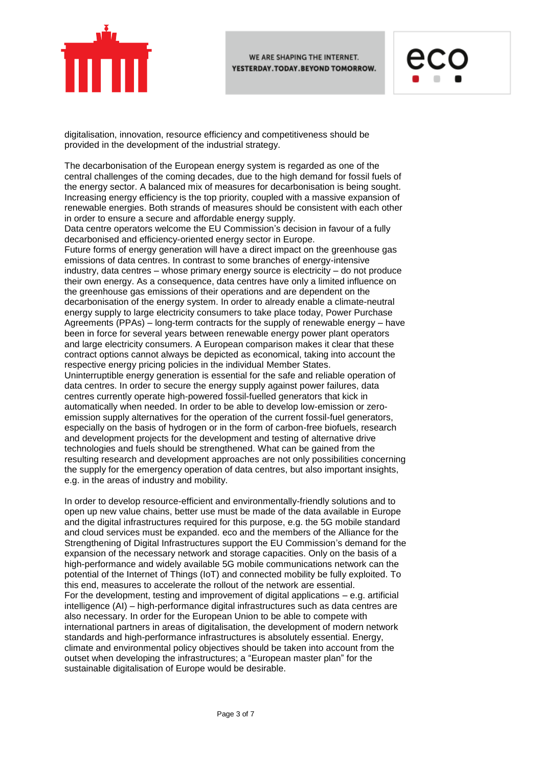



digitalisation, innovation, resource efficiency and competitiveness should be provided in the development of the industrial strategy.

The decarbonisation of the European energy system is regarded as one of the central challenges of the coming decades, due to the high demand for fossil fuels of the energy sector. A balanced mix of measures for decarbonisation is being sought. Increasing energy efficiency is the top priority, coupled with a massive expansion of renewable energies. Both strands of measures should be consistent with each other in order to ensure a secure and affordable energy supply.

Data centre operators welcome the EU Commission's decision in favour of a fully decarbonised and efficiency-oriented energy sector in Europe.

Future forms of energy generation will have a direct impact on the greenhouse gas emissions of data centres. In contrast to some branches of energy-intensive industry, data centres – whose primary energy source is electricity – do not produce their own energy. As a consequence, data centres have only a limited influence on the greenhouse gas emissions of their operations and are dependent on the decarbonisation of the energy system. In order to already enable a climate-neutral energy supply to large electricity consumers to take place today, Power Purchase Agreements (PPAs) – long-term contracts for the supply of renewable energy – have been in force for several years between renewable energy power plant operators and large electricity consumers. A European comparison makes it clear that these contract options cannot always be depicted as economical, taking into account the respective energy pricing policies in the individual Member States. Uninterruptible energy generation is essential for the safe and reliable operation of data centres. In order to secure the energy supply against power failures, data centres currently operate high-powered fossil-fuelled generators that kick in automatically when needed. In order to be able to develop low-emission or zeroemission supply alternatives for the operation of the current fossil-fuel generators, especially on the basis of hydrogen or in the form of carbon-free biofuels, research and development projects for the development and testing of alternative drive technologies and fuels should be strengthened. What can be gained from the resulting research and development approaches are not only possibilities concerning the supply for the emergency operation of data centres, but also important insights, e.g. in the areas of industry and mobility.

In order to develop resource-efficient and environmentally-friendly solutions and to open up new value chains, better use must be made of the data available in Europe and the digital infrastructures required for this purpose, e.g. the 5G mobile standard and cloud services must be expanded. eco and the members of the Alliance for the Strengthening of Digital Infrastructures support the EU Commission's demand for the expansion of the necessary network and storage capacities. Only on the basis of a high-performance and widely available 5G mobile communications network can the potential of the Internet of Things (IoT) and connected mobility be fully exploited. To this end, measures to accelerate the rollout of the network are essential. For the development, testing and improvement of digital applications – e.g. artificial intelligence (AI) – high-performance digital infrastructures such as data centres are also necessary. In order for the European Union to be able to compete with international partners in areas of digitalisation, the development of modern network standards and high-performance infrastructures is absolutely essential. Energy, climate and environmental policy objectives should be taken into account from the outset when developing the infrastructures; a "European master plan" for the sustainable digitalisation of Europe would be desirable.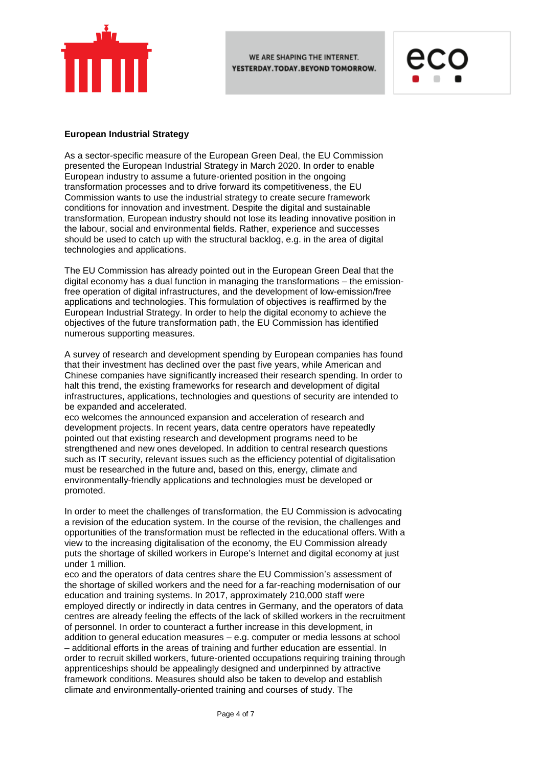

WE ARE SHAPING THE INTERNET. YESTERDAY.TODAY.BEYOND TOMORROW.



# **European Industrial Strategy**

As a sector-specific measure of the European Green Deal, the EU Commission presented the European Industrial Strategy in March 2020. In order to enable European industry to assume a future-oriented position in the ongoing transformation processes and to drive forward its competitiveness, the EU Commission wants to use the industrial strategy to create secure framework conditions for innovation and investment. Despite the digital and sustainable transformation, European industry should not lose its leading innovative position in the labour, social and environmental fields. Rather, experience and successes should be used to catch up with the structural backlog, e.g. in the area of digital technologies and applications.

The EU Commission has already pointed out in the European Green Deal that the digital economy has a dual function in managing the transformations – the emissionfree operation of digital infrastructures, and the development of low-emission/free applications and technologies. This formulation of objectives is reaffirmed by the European Industrial Strategy. In order to help the digital economy to achieve the objectives of the future transformation path, the EU Commission has identified numerous supporting measures.

A survey of research and development spending by European companies has found that their investment has declined over the past five years, while American and Chinese companies have significantly increased their research spending. In order to halt this trend, the existing frameworks for research and development of digital infrastructures, applications, technologies and questions of security are intended to be expanded and accelerated.

eco welcomes the announced expansion and acceleration of research and development projects. In recent years, data centre operators have repeatedly pointed out that existing research and development programs need to be strengthened and new ones developed. In addition to central research questions such as IT security, relevant issues such as the efficiency potential of digitalisation must be researched in the future and, based on this, energy, climate and environmentally-friendly applications and technologies must be developed or promoted.

In order to meet the challenges of transformation, the EU Commission is advocating a revision of the education system. In the course of the revision, the challenges and opportunities of the transformation must be reflected in the educational offers. With a view to the increasing digitalisation of the economy, the EU Commission already puts the shortage of skilled workers in Europe's Internet and digital economy at just under 1 million.

eco and the operators of data centres share the EU Commission's assessment of the shortage of skilled workers and the need for a far-reaching modernisation of our education and training systems. In 2017, approximately 210,000 staff were employed directly or indirectly in data centres in Germany, and the operators of data centres are already feeling the effects of the lack of skilled workers in the recruitment of personnel. In order to counteract a further increase in this development, in addition to general education measures – e.g. computer or media lessons at school – additional efforts in the areas of training and further education are essential. In order to recruit skilled workers, future-oriented occupations requiring training through apprenticeships should be appealingly designed and underpinned by attractive framework conditions. Measures should also be taken to develop and establish climate and environmentally-oriented training and courses of study. The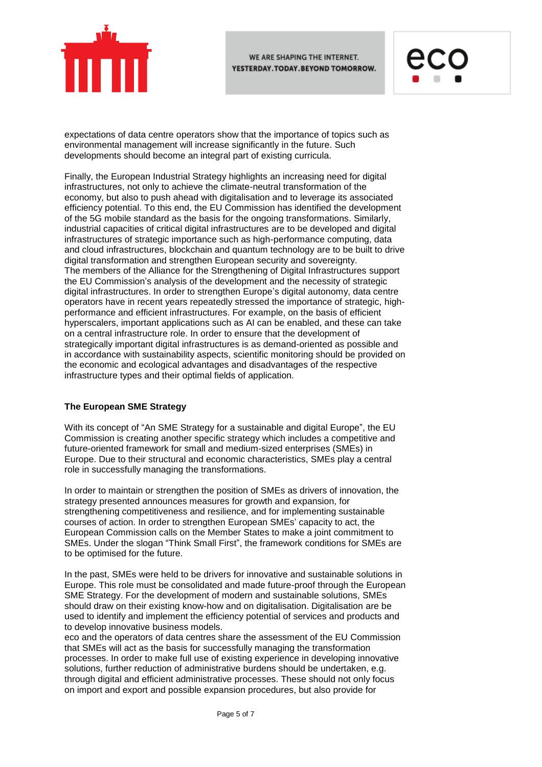



expectations of data centre operators show that the importance of topics such as environmental management will increase significantly in the future. Such developments should become an integral part of existing curricula.

Finally, the European Industrial Strategy highlights an increasing need for digital infrastructures, not only to achieve the climate-neutral transformation of the economy, but also to push ahead with digitalisation and to leverage its associated efficiency potential. To this end, the EU Commission has identified the development of the 5G mobile standard as the basis for the ongoing transformations. Similarly, industrial capacities of critical digital infrastructures are to be developed and digital infrastructures of strategic importance such as high-performance computing, data and cloud infrastructures, blockchain and quantum technology are to be built to drive digital transformation and strengthen European security and sovereignty. The members of the Alliance for the Strengthening of Digital Infrastructures support the EU Commission's analysis of the development and the necessity of strategic digital infrastructures. In order to strengthen Europe's digital autonomy, data centre operators have in recent years repeatedly stressed the importance of strategic, highperformance and efficient infrastructures. For example, on the basis of efficient hyperscalers, important applications such as AI can be enabled, and these can take on a central infrastructure role. In order to ensure that the development of strategically important digital infrastructures is as demand-oriented as possible and in accordance with sustainability aspects, scientific monitoring should be provided on the economic and ecological advantages and disadvantages of the respective infrastructure types and their optimal fields of application.

# **The European SME Strategy**

With its concept of "An SME Strategy for a sustainable and digital Europe", the EU Commission is creating another specific strategy which includes a competitive and future-oriented framework for small and medium-sized enterprises (SMEs) in Europe. Due to their structural and economic characteristics, SMEs play a central role in successfully managing the transformations.

In order to maintain or strengthen the position of SMEs as drivers of innovation, the strategy presented announces measures for growth and expansion, for strengthening competitiveness and resilience, and for implementing sustainable courses of action. In order to strengthen European SMEs' capacity to act, the European Commission calls on the Member States to make a joint commitment to SMEs. Under the slogan "Think Small First", the framework conditions for SMEs are to be optimised for the future.

In the past, SMEs were held to be drivers for innovative and sustainable solutions in Europe. This role must be consolidated and made future-proof through the European SME Strategy. For the development of modern and sustainable solutions, SMEs should draw on their existing know-how and on digitalisation. Digitalisation are be used to identify and implement the efficiency potential of services and products and to develop innovative business models.

eco and the operators of data centres share the assessment of the EU Commission that SMEs will act as the basis for successfully managing the transformation processes. In order to make full use of existing experience in developing innovative solutions, further reduction of administrative burdens should be undertaken, e.g. through digital and efficient administrative processes. These should not only focus on import and export and possible expansion procedures, but also provide for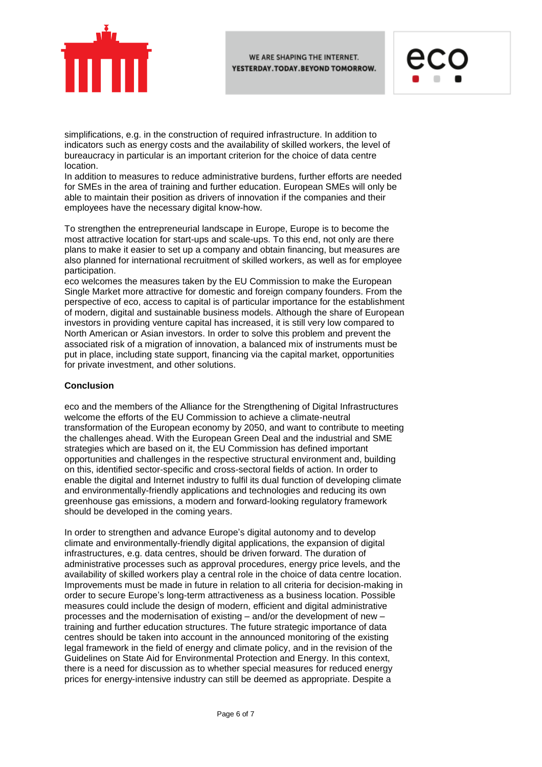



simplifications, e.g. in the construction of required infrastructure. In addition to indicators such as energy costs and the availability of skilled workers, the level of bureaucracy in particular is an important criterion for the choice of data centre location.

In addition to measures to reduce administrative burdens, further efforts are needed for SMEs in the area of training and further education. European SMEs will only be able to maintain their position as drivers of innovation if the companies and their employees have the necessary digital know-how.

To strengthen the entrepreneurial landscape in Europe, Europe is to become the most attractive location for start-ups and scale-ups. To this end, not only are there plans to make it easier to set up a company and obtain financing, but measures are also planned for international recruitment of skilled workers, as well as for employee participation.

eco welcomes the measures taken by the EU Commission to make the European Single Market more attractive for domestic and foreign company founders. From the perspective of eco, access to capital is of particular importance for the establishment of modern, digital and sustainable business models. Although the share of European investors in providing venture capital has increased, it is still very low compared to North American or Asian investors. In order to solve this problem and prevent the associated risk of a migration of innovation, a balanced mix of instruments must be put in place, including state support, financing via the capital market, opportunities for private investment, and other solutions.

### **Conclusion**

eco and the members of the Alliance for the Strengthening of Digital Infrastructures welcome the efforts of the EU Commission to achieve a climate-neutral transformation of the European economy by 2050, and want to contribute to meeting the challenges ahead. With the European Green Deal and the industrial and SME strategies which are based on it, the EU Commission has defined important opportunities and challenges in the respective structural environment and, building on this, identified sector-specific and cross-sectoral fields of action. In order to enable the digital and Internet industry to fulfil its dual function of developing climate and environmentally-friendly applications and technologies and reducing its own greenhouse gas emissions, a modern and forward-looking regulatory framework should be developed in the coming years.

In order to strengthen and advance Europe's digital autonomy and to develop climate and environmentally-friendly digital applications, the expansion of digital infrastructures, e.g. data centres, should be driven forward. The duration of administrative processes such as approval procedures, energy price levels, and the availability of skilled workers play a central role in the choice of data centre location. Improvements must be made in future in relation to all criteria for decision-making in order to secure Europe's long-term attractiveness as a business location. Possible measures could include the design of modern, efficient and digital administrative processes and the modernisation of existing – and/or the development of new – training and further education structures. The future strategic importance of data centres should be taken into account in the announced monitoring of the existing legal framework in the field of energy and climate policy, and in the revision of the Guidelines on State Aid for Environmental Protection and Energy. In this context, there is a need for discussion as to whether special measures for reduced energy prices for energy-intensive industry can still be deemed as appropriate. Despite a